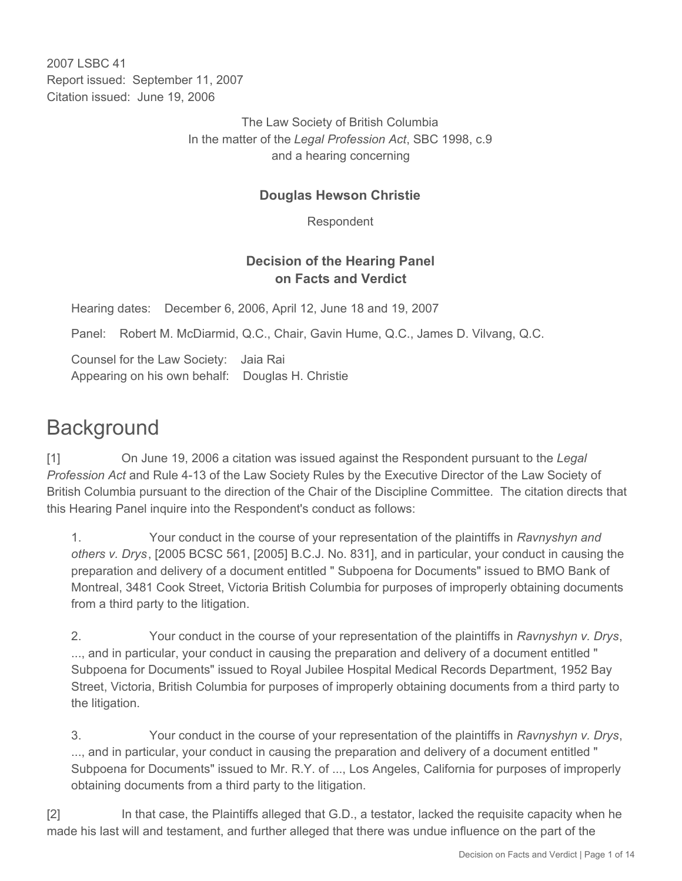2007 LSBC 41 Report issued: September 11, 2007 Citation issued: June 19, 2006

> The Law Society of British Columbia In the matter of the *Legal Profession Act*, SBC 1998, c.9 and a hearing concerning

# **Douglas Hewson Christie**

Respondent

# **Decision of the Hearing Panel on Facts and Verdict**

Hearing dates: December 6, 2006, April 12, June 18 and 19, 2007

Panel: Robert M. McDiarmid, Q.C., Chair, Gavin Hume, Q.C., James D. Vilvang, Q.C.

Counsel for the Law Society: Jaia Rai Appearing on his own behalf: Douglas H. Christie

# **Background**

[1] On June 19, 2006 a citation was issued against the Respondent pursuant to the *Legal Profession Act* and Rule 4-13 of the Law Society Rules by the Executive Director of the Law Society of British Columbia pursuant to the direction of the Chair of the Discipline Committee. The citation directs that this Hearing Panel inquire into the Respondent's conduct as follows:

1. Your conduct in the course of your representation of the plaintiffs in *Ravnyshyn and others v. Drys*, [2005 BCSC 561, [2005] B.C.J. No. 831], and in particular, your conduct in causing the preparation and delivery of a document entitled " Subpoena for Documents" issued to BMO Bank of Montreal, 3481 Cook Street, Victoria British Columbia for purposes of improperly obtaining documents from a third party to the litigation.

2. Your conduct in the course of your representation of the plaintiffs in *Ravnyshyn v. Drys*, ..., and in particular, your conduct in causing the preparation and delivery of a document entitled " Subpoena for Documents" issued to Royal Jubilee Hospital Medical Records Department, 1952 Bay Street, Victoria, British Columbia for purposes of improperly obtaining documents from a third party to the litigation.

3. Your conduct in the course of your representation of the plaintiffs in *Ravnyshyn v. Drys*, ..., and in particular, your conduct in causing the preparation and delivery of a document entitled " Subpoena for Documents" issued to Mr. R.Y. of ..., Los Angeles, California for purposes of improperly obtaining documents from a third party to the litigation.

[2] In that case, the Plaintiffs alleged that G.D., a testator, lacked the requisite capacity when he made his last will and testament, and further alleged that there was undue influence on the part of the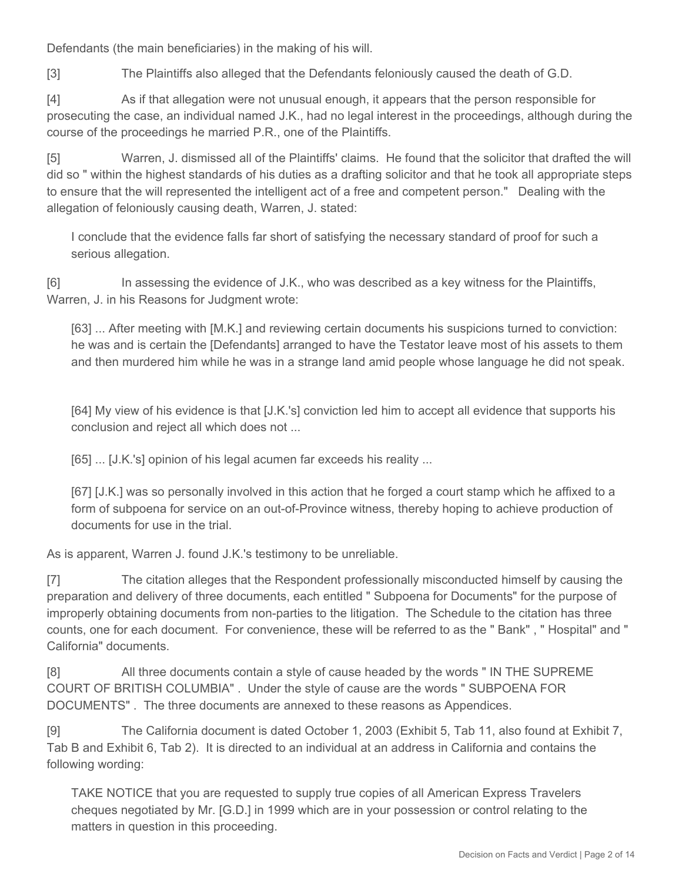Defendants (the main beneficiaries) in the making of his will.

[3] The Plaintiffs also alleged that the Defendants feloniously caused the death of G.D.

[4] As if that allegation were not unusual enough, it appears that the person responsible for prosecuting the case, an individual named J.K., had no legal interest in the proceedings, although during the course of the proceedings he married P.R., one of the Plaintiffs.

[5] Warren, J. dismissed all of the Plaintiffs' claims. He found that the solicitor that drafted the will did so " within the highest standards of his duties as a drafting solicitor and that he took all appropriate steps to ensure that the will represented the intelligent act of a free and competent person." Dealing with the allegation of feloniously causing death, Warren, J. stated:

I conclude that the evidence falls far short of satisfying the necessary standard of proof for such a serious allegation.

[6] In assessing the evidence of J.K., who was described as a key witness for the Plaintiffs, Warren, J. in his Reasons for Judgment wrote:

[63] ... After meeting with [M.K.] and reviewing certain documents his suspicions turned to conviction: he was and is certain the [Defendants] arranged to have the Testator leave most of his assets to them and then murdered him while he was in a strange land amid people whose language he did not speak.

[64] My view of his evidence is that [J.K.'s] conviction led him to accept all evidence that supports his conclusion and reject all which does not ...

[65] ... [J.K.'s] opinion of his legal acumen far exceeds his reality ...

[67] [J.K.] was so personally involved in this action that he forged a court stamp which he affixed to a form of subpoena for service on an out-of-Province witness, thereby hoping to achieve production of documents for use in the trial.

As is apparent, Warren J. found J.K.'s testimony to be unreliable.

[7] The citation alleges that the Respondent professionally misconducted himself by causing the preparation and delivery of three documents, each entitled " Subpoena for Documents" for the purpose of improperly obtaining documents from non-parties to the litigation. The Schedule to the citation has three counts, one for each document. For convenience, these will be referred to as the " Bank" , " Hospital" and " California" documents.

[8] All three documents contain a style of cause headed by the words " IN THE SUPREME COURT OF BRITISH COLUMBIA" . Under the style of cause are the words " SUBPOENA FOR DOCUMENTS" . The three documents are annexed to these reasons as Appendices.

[9] The California document is dated October 1, 2003 (Exhibit 5, Tab 11, also found at Exhibit 7, Tab B and Exhibit 6, Tab 2). It is directed to an individual at an address in California and contains the following wording:

TAKE NOTICE that you are requested to supply true copies of all American Express Travelers cheques negotiated by Mr. [G.D.] in 1999 which are in your possession or control relating to the matters in question in this proceeding.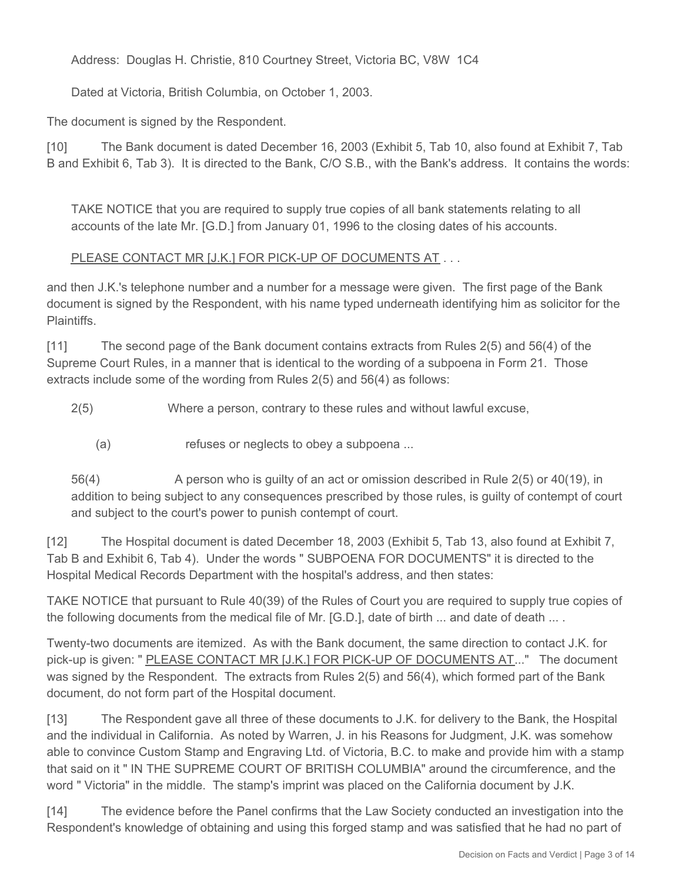Address: Douglas H. Christie, 810 Courtney Street, Victoria BC, V8W 1C4

Dated at Victoria, British Columbia, on October 1, 2003.

The document is signed by the Respondent.

[10] The Bank document is dated December 16, 2003 (Exhibit 5, Tab 10, also found at Exhibit 7, Tab B and Exhibit 6, Tab 3). It is directed to the Bank, C/O S.B., with the Bank's address. It contains the words:

TAKE NOTICE that you are required to supply true copies of all bank statements relating to all accounts of the late Mr. [G.D.] from January 01, 1996 to the closing dates of his accounts.

## PLEASE CONTACT MR [J.K.] FOR PICK-UP OF DOCUMENTS AT . . .

and then J.K.'s telephone number and a number for a message were given. The first page of the Bank document is signed by the Respondent, with his name typed underneath identifying him as solicitor for the **Plaintiffs** 

[11] The second page of the Bank document contains extracts from Rules 2(5) and 56(4) of the Supreme Court Rules, in a manner that is identical to the wording of a subpoena in Form 21. Those extracts include some of the wording from Rules 2(5) and 56(4) as follows:

2(5) Where a person, contrary to these rules and without lawful excuse,

(a) refuses or neglects to obey a subpoena ...

56(4) A person who is guilty of an act or omission described in Rule 2(5) or 40(19), in addition to being subject to any consequences prescribed by those rules, is guilty of contempt of court and subject to the court's power to punish contempt of court.

[12] The Hospital document is dated December 18, 2003 (Exhibit 5, Tab 13, also found at Exhibit 7, Tab B and Exhibit 6, Tab 4). Under the words " SUBPOENA FOR DOCUMENTS" it is directed to the Hospital Medical Records Department with the hospital's address, and then states:

TAKE NOTICE that pursuant to Rule 40(39) of the Rules of Court you are required to supply true copies of the following documents from the medical file of Mr. [G.D.], date of birth ... and date of death ... .

Twenty-two documents are itemized. As with the Bank document, the same direction to contact J.K. for pick-up is given: " PLEASE CONTACT MR [J.K.] FOR PICK-UP OF DOCUMENTS AT..." The document was signed by the Respondent. The extracts from Rules 2(5) and 56(4), which formed part of the Bank document, do not form part of the Hospital document.

[13] The Respondent gave all three of these documents to J.K. for delivery to the Bank, the Hospital and the individual in California. As noted by Warren, J. in his Reasons for Judgment, J.K. was somehow able to convince Custom Stamp and Engraving Ltd. of Victoria, B.C. to make and provide him with a stamp that said on it " IN THE SUPREME COURT OF BRITISH COLUMBIA" around the circumference, and the word " Victoria" in the middle. The stamp's imprint was placed on the California document by J.K.

[14] The evidence before the Panel confirms that the Law Society conducted an investigation into the Respondent's knowledge of obtaining and using this forged stamp and was satisfied that he had no part of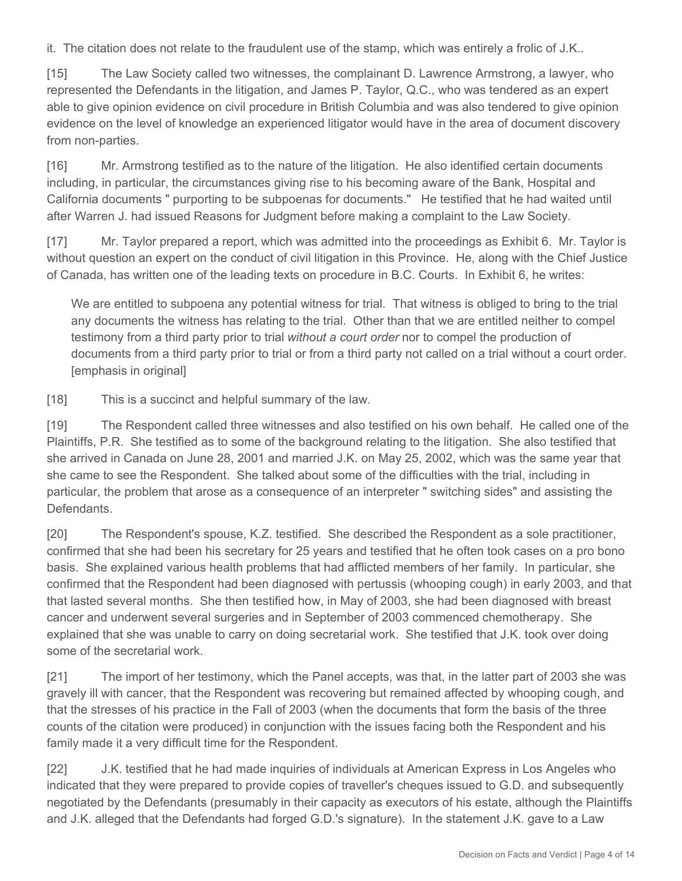it. The citation does not relate to the fraudulent use of the stamp, which was entirely a frolic of J.K..

[15] The Law Society called two witnesses, the complainant D. Lawrence Armstrong, a lawyer, who represented the Defendants in the litigation, and James P. Taylor, Q.C., who was tendered as an expert able to give opinion evidence on civil procedure in British Columbia and was also tendered to give opinion evidence on the level of knowledge an experienced litigator would have in the area of document discovery from non-parties.

[16] Mr. Armstrong testified as to the nature of the litigation. He also identified certain documents including, in particular, the circumstances giving rise to his becoming aware of the Bank, Hospital and California documents " purporting to be subpoenas for documents." He testified that he had waited until after Warren J. had issued Reasons for Judgment before making a complaint to the Law Society.

[17] Mr. Taylor prepared a report, which was admitted into the proceedings as Exhibit 6. Mr. Taylor is without question an expert on the conduct of civil litigation in this Province. He, along with the Chief Justice of Canada, has written one of the leading texts on procedure in B.C. Courts. In Exhibit 6, he writes:

We are entitled to subpoena any potential witness for trial. That witness is obliged to bring to the trial any documents the witness has relating to the trial. Other than that we are entitled neither to compel testimony from a third party prior to trial *without a court order* nor to compel the production of documents from a third party prior to trial or from a third party not called on a trial without a court order. [emphasis in original]

[18] This is a succinct and helpful summary of the law.

[19] The Respondent called three witnesses and also testified on his own behalf. He called one of the Plaintiffs, P.R. She testified as to some of the background relating to the litigation. She also testified that she arrived in Canada on June 28, 2001 and married J.K. on May 25, 2002, which was the same year that she came to see the Respondent. She talked about some of the difficulties with the trial, including in particular, the problem that arose as a consequence of an interpreter " switching sides" and assisting the Defendants.

[20] The Respondent's spouse, K.Z. testified. She described the Respondent as a sole practitioner, confirmed that she had been his secretary for 25 years and testified that he often took cases on a pro bono basis. She explained various health problems that had afflicted members of her family. In particular, she confirmed that the Respondent had been diagnosed with pertussis (whooping cough) in early 2003, and that that lasted several months. She then testified how, in May of 2003, she had been diagnosed with breast cancer and underwent several surgeries and in September of 2003 commenced chemotherapy. She explained that she was unable to carry on doing secretarial work. She testified that J.K. took over doing some of the secretarial work.

[21] The import of her testimony, which the Panel accepts, was that, in the latter part of 2003 she was gravely ill with cancer, that the Respondent was recovering but remained affected by whooping cough, and that the stresses of his practice in the Fall of 2003 (when the documents that form the basis of the three counts of the citation were produced) in conjunction with the issues facing both the Respondent and his family made it a very difficult time for the Respondent.

[22] J.K. testified that he had made inquiries of individuals at American Express in Los Angeles who indicated that they were prepared to provide copies of traveller's cheques issued to G.D. and subsequently negotiated by the Defendants (presumably in their capacity as executors of his estate, although the Plaintiffs and J.K. alleged that the Defendants had forged G.D.'s signature). In the statement J.K. gave to a Law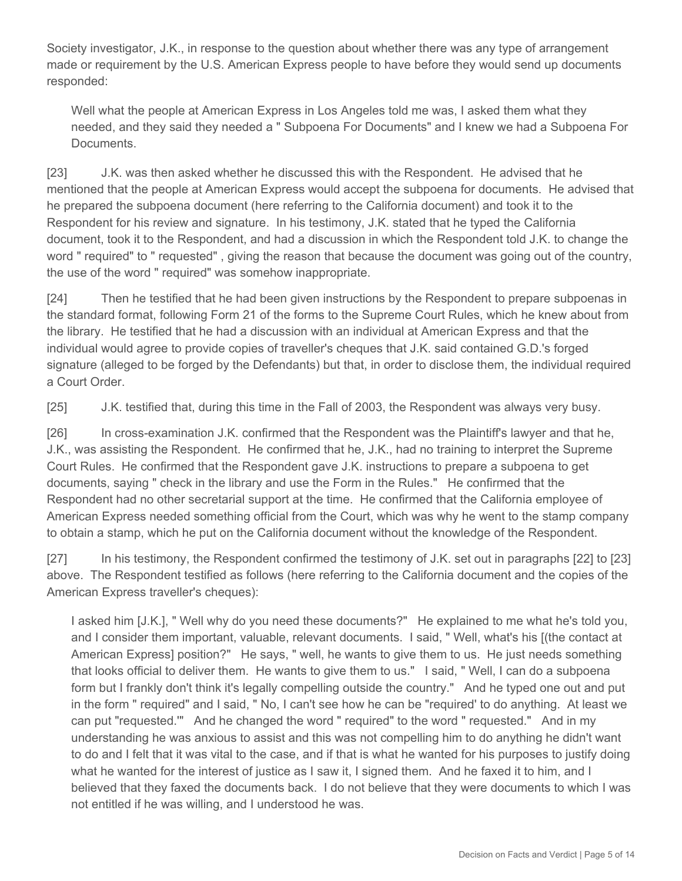Society investigator, J.K., in response to the question about whether there was any type of arrangement made or requirement by the U.S. American Express people to have before they would send up documents responded:

Well what the people at American Express in Los Angeles told me was, I asked them what they needed, and they said they needed a " Subpoena For Documents" and I knew we had a Subpoena For Documents.

[23] J.K. was then asked whether he discussed this with the Respondent. He advised that he mentioned that the people at American Express would accept the subpoena for documents. He advised that he prepared the subpoena document (here referring to the California document) and took it to the Respondent for his review and signature. In his testimony, J.K. stated that he typed the California document, took it to the Respondent, and had a discussion in which the Respondent told J.K. to change the word " required" to " requested" , giving the reason that because the document was going out of the country, the use of the word " required" was somehow inappropriate.

[24] Then he testified that he had been given instructions by the Respondent to prepare subpoenas in the standard format, following Form 21 of the forms to the Supreme Court Rules, which he knew about from the library. He testified that he had a discussion with an individual at American Express and that the individual would agree to provide copies of traveller's cheques that J.K. said contained G.D.'s forged signature (alleged to be forged by the Defendants) but that, in order to disclose them, the individual required a Court Order.

[25] J.K. testified that, during this time in the Fall of 2003, the Respondent was always very busy.

[26] In cross-examination J.K. confirmed that the Respondent was the Plaintiff's lawyer and that he, J.K., was assisting the Respondent. He confirmed that he, J.K., had no training to interpret the Supreme Court Rules. He confirmed that the Respondent gave J.K. instructions to prepare a subpoena to get documents, saying " check in the library and use the Form in the Rules." He confirmed that the Respondent had no other secretarial support at the time. He confirmed that the California employee of American Express needed something official from the Court, which was why he went to the stamp company to obtain a stamp, which he put on the California document without the knowledge of the Respondent.

[27] In his testimony, the Respondent confirmed the testimony of J.K. set out in paragraphs [22] to [23] above. The Respondent testified as follows (here referring to the California document and the copies of the American Express traveller's cheques):

I asked him [J.K.], " Well why do you need these documents?" He explained to me what he's told you, and I consider them important, valuable, relevant documents. I said, " Well, what's his [(the contact at American Express] position?" He says, " well, he wants to give them to us. He just needs something that looks official to deliver them. He wants to give them to us." I said, " Well, I can do a subpoena form but I frankly don't think it's legally compelling outside the country." And he typed one out and put in the form " required" and I said, " No, I can't see how he can be "required' to do anything. At least we can put "requested.'" And he changed the word " required" to the word " requested." And in my understanding he was anxious to assist and this was not compelling him to do anything he didn't want to do and I felt that it was vital to the case, and if that is what he wanted for his purposes to justify doing what he wanted for the interest of justice as I saw it, I signed them. And he faxed it to him, and I believed that they faxed the documents back. I do not believe that they were documents to which I was not entitled if he was willing, and I understood he was.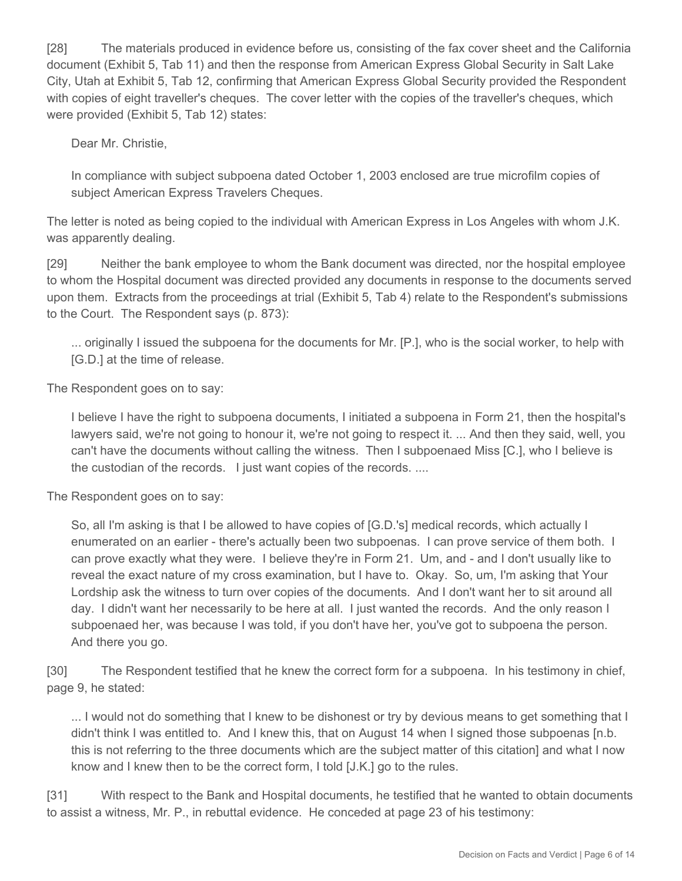[28] The materials produced in evidence before us, consisting of the fax cover sheet and the California document (Exhibit 5, Tab 11) and then the response from American Express Global Security in Salt Lake City, Utah at Exhibit 5, Tab 12, confirming that American Express Global Security provided the Respondent with copies of eight traveller's cheques. The cover letter with the copies of the traveller's cheques, which were provided (Exhibit 5, Tab 12) states:

Dear Mr. Christie,

In compliance with subject subpoena dated October 1, 2003 enclosed are true microfilm copies of subject American Express Travelers Cheques.

The letter is noted as being copied to the individual with American Express in Los Angeles with whom J.K. was apparently dealing.

[29] Neither the bank employee to whom the Bank document was directed, nor the hospital employee to whom the Hospital document was directed provided any documents in response to the documents served upon them. Extracts from the proceedings at trial (Exhibit 5, Tab 4) relate to the Respondent's submissions to the Court. The Respondent says (p. 873):

... originally I issued the subpoena for the documents for Mr. [P.], who is the social worker, to help with [G.D.] at the time of release.

The Respondent goes on to say:

I believe I have the right to subpoena documents, I initiated a subpoena in Form 21, then the hospital's lawyers said, we're not going to honour it, we're not going to respect it. ... And then they said, well, you can't have the documents without calling the witness. Then I subpoenaed Miss [C.], who I believe is the custodian of the records. I just want copies of the records. ....

The Respondent goes on to say:

So, all I'm asking is that I be allowed to have copies of [G.D.'s] medical records, which actually I enumerated on an earlier - there's actually been two subpoenas. I can prove service of them both. I can prove exactly what they were. I believe they're in Form 21. Um, and - and I don't usually like to reveal the exact nature of my cross examination, but I have to. Okay. So, um, I'm asking that Your Lordship ask the witness to turn over copies of the documents. And I don't want her to sit around all day. I didn't want her necessarily to be here at all. I just wanted the records. And the only reason I subpoenaed her, was because I was told, if you don't have her, you've got to subpoena the person. And there you go.

[30] The Respondent testified that he knew the correct form for a subpoena. In his testimony in chief, page 9, he stated:

... I would not do something that I knew to be dishonest or try by devious means to get something that I didn't think I was entitled to. And I knew this, that on August 14 when I signed those subpoenas [n.b. this is not referring to the three documents which are the subject matter of this citation] and what I now know and I knew then to be the correct form, I told [J.K.] go to the rules.

[31] With respect to the Bank and Hospital documents, he testified that he wanted to obtain documents to assist a witness, Mr. P., in rebuttal evidence. He conceded at page 23 of his testimony: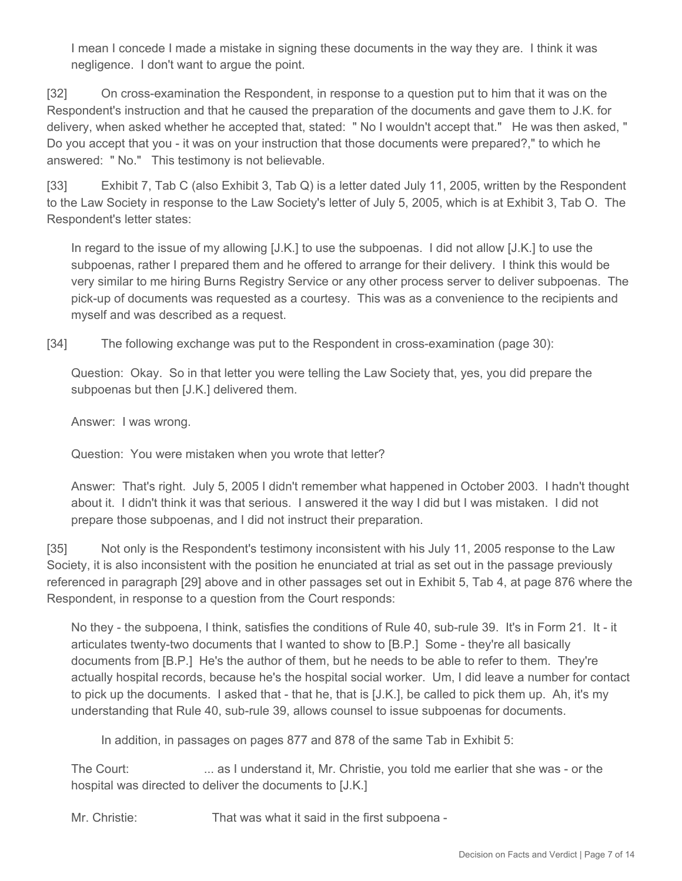I mean I concede I made a mistake in signing these documents in the way they are. I think it was negligence. I don't want to argue the point.

[32] On cross-examination the Respondent, in response to a question put to him that it was on the Respondent's instruction and that he caused the preparation of the documents and gave them to J.K. for delivery, when asked whether he accepted that, stated: " No I wouldn't accept that." He was then asked, " Do you accept that you - it was on your instruction that those documents were prepared?," to which he answered: " No." This testimony is not believable.

[33] Exhibit 7, Tab C (also Exhibit 3, Tab Q) is a letter dated July 11, 2005, written by the Respondent to the Law Society in response to the Law Society's letter of July 5, 2005, which is at Exhibit 3, Tab O. The Respondent's letter states:

In regard to the issue of my allowing [J.K.] to use the subpoenas. I did not allow [J.K.] to use the subpoenas, rather I prepared them and he offered to arrange for their delivery. I think this would be very similar to me hiring Burns Registry Service or any other process server to deliver subpoenas. The pick-up of documents was requested as a courtesy. This was as a convenience to the recipients and myself and was described as a request.

[34] The following exchange was put to the Respondent in cross-examination (page 30):

Question: Okay. So in that letter you were telling the Law Society that, yes, you did prepare the subpoenas but then [J.K.] delivered them.

Answer: I was wrong.

Question: You were mistaken when you wrote that letter?

Answer: That's right. July 5, 2005 I didn't remember what happened in October 2003. I hadn't thought about it. I didn't think it was that serious. I answered it the way I did but I was mistaken. I did not prepare those subpoenas, and I did not instruct their preparation.

[35] Not only is the Respondent's testimony inconsistent with his July 11, 2005 response to the Law Society, it is also inconsistent with the position he enunciated at trial as set out in the passage previously referenced in paragraph [29] above and in other passages set out in Exhibit 5, Tab 4, at page 876 where the Respondent, in response to a question from the Court responds:

No they - the subpoena, I think, satisfies the conditions of Rule 40, sub-rule 39. It's in Form 21. It - it articulates twenty-two documents that I wanted to show to [B.P.] Some - they're all basically documents from [B.P.] He's the author of them, but he needs to be able to refer to them. They're actually hospital records, because he's the hospital social worker. Um, I did leave a number for contact to pick up the documents. I asked that - that he, that is [J.K.], be called to pick them up. Ah, it's my understanding that Rule 40, sub-rule 39, allows counsel to issue subpoenas for documents.

In addition, in passages on pages 877 and 878 of the same Tab in Exhibit 5:

The Court: ... as I understand it, Mr. Christie, you told me earlier that she was - or the hospital was directed to deliver the documents to [J.K.]

Mr. Christie: That was what it said in the first subpoena -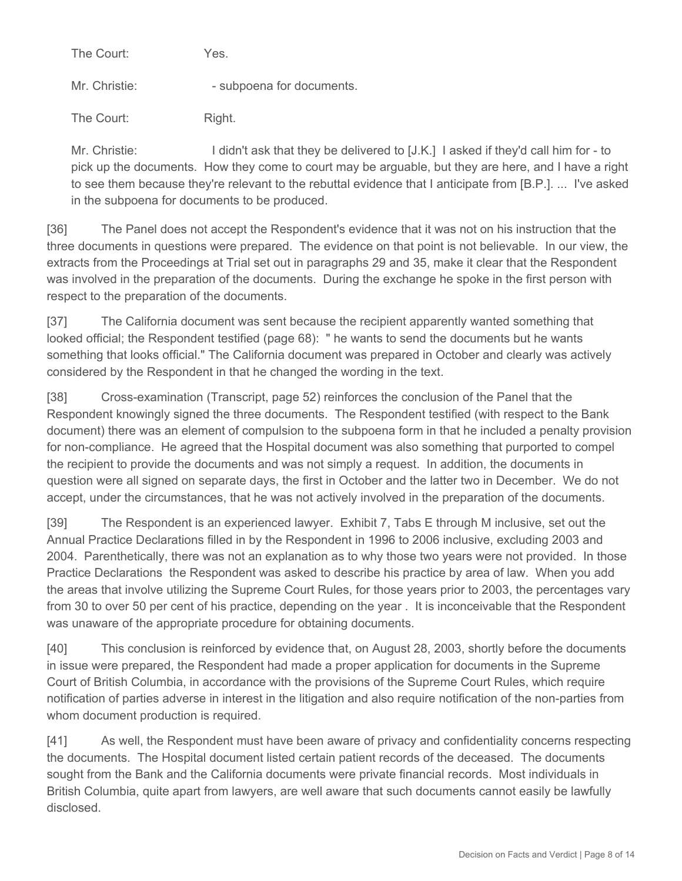The Court: Yes.

Mr. Christie:  $\blacksquare$  - subpoena for documents.

The Court: Right.

Mr. Christie: I didn't ask that they be delivered to [J.K.] I asked if they'd call him for - to pick up the documents. How they come to court may be arguable, but they are here, and I have a right to see them because they're relevant to the rebuttal evidence that I anticipate from [B.P.]. ... I've asked in the subpoena for documents to be produced.

[36] The Panel does not accept the Respondent's evidence that it was not on his instruction that the three documents in questions were prepared. The evidence on that point is not believable. In our view, the extracts from the Proceedings at Trial set out in paragraphs 29 and 35, make it clear that the Respondent was involved in the preparation of the documents. During the exchange he spoke in the first person with respect to the preparation of the documents.

[37] The California document was sent because the recipient apparently wanted something that looked official; the Respondent testified (page 68): " he wants to send the documents but he wants something that looks official." The California document was prepared in October and clearly was actively considered by the Respondent in that he changed the wording in the text.

[38] Cross-examination (Transcript, page 52) reinforces the conclusion of the Panel that the Respondent knowingly signed the three documents. The Respondent testified (with respect to the Bank document) there was an element of compulsion to the subpoena form in that he included a penalty provision for non-compliance. He agreed that the Hospital document was also something that purported to compel the recipient to provide the documents and was not simply a request. In addition, the documents in question were all signed on separate days, the first in October and the latter two in December. We do not accept, under the circumstances, that he was not actively involved in the preparation of the documents.

[39] The Respondent is an experienced lawyer. Exhibit 7, Tabs E through M inclusive, set out the Annual Practice Declarations filled in by the Respondent in 1996 to 2006 inclusive, excluding 2003 and 2004. Parenthetically, there was not an explanation as to why those two years were not provided. In those Practice Declarations the Respondent was asked to describe his practice by area of law. When you add the areas that involve utilizing the Supreme Court Rules, for those years prior to 2003, the percentages vary from 30 to over 50 per cent of his practice, depending on the year . It is inconceivable that the Respondent was unaware of the appropriate procedure for obtaining documents.

[40] This conclusion is reinforced by evidence that, on August 28, 2003, shortly before the documents in issue were prepared, the Respondent had made a proper application for documents in the Supreme Court of British Columbia, in accordance with the provisions of the Supreme Court Rules, which require notification of parties adverse in interest in the litigation and also require notification of the non-parties from whom document production is required.

[41] As well, the Respondent must have been aware of privacy and confidentiality concerns respecting the documents. The Hospital document listed certain patient records of the deceased. The documents sought from the Bank and the California documents were private financial records. Most individuals in British Columbia, quite apart from lawyers, are well aware that such documents cannot easily be lawfully disclosed.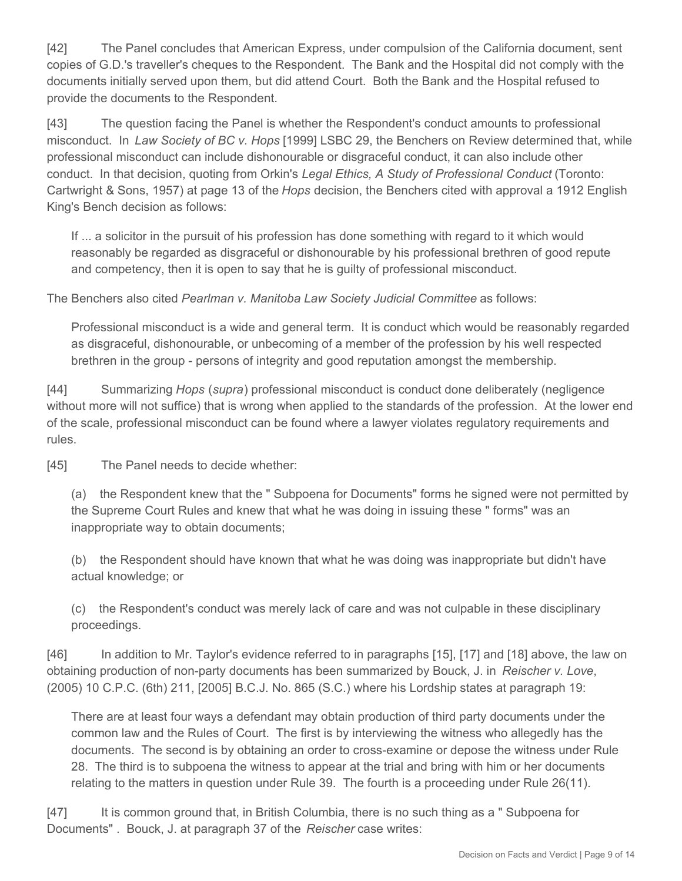[42] The Panel concludes that American Express, under compulsion of the California document, sent copies of G.D.'s traveller's cheques to the Respondent. The Bank and the Hospital did not comply with the documents initially served upon them, but did attend Court. Both the Bank and the Hospital refused to provide the documents to the Respondent.

[43] The question facing the Panel is whether the Respondent's conduct amounts to professional misconduct. In *Law Society of BC v. Hops* [1999] LSBC 29, the Benchers on Review determined that, while professional misconduct can include dishonourable or disgraceful conduct, it can also include other conduct. In that decision, quoting from Orkin's *Legal Ethics, A Study of Professional Conduct* (Toronto: Cartwright & Sons, 1957) at page 13 of the *Hops* decision, the Benchers cited with approval a 1912 English King's Bench decision as follows:

If ... a solicitor in the pursuit of his profession has done something with regard to it which would reasonably be regarded as disgraceful or dishonourable by his professional brethren of good repute and competency, then it is open to say that he is guilty of professional misconduct.

The Benchers also cited *Pearlman v. Manitoba Law Society Judicial Committee* as follows:

Professional misconduct is a wide and general term. It is conduct which would be reasonably regarded as disgraceful, dishonourable, or unbecoming of a member of the profession by his well respected brethren in the group - persons of integrity and good reputation amongst the membership.

[44] Summarizing *Hops* (*supra*) professional misconduct is conduct done deliberately (negligence without more will not suffice) that is wrong when applied to the standards of the profession. At the lower end of the scale, professional misconduct can be found where a lawyer violates regulatory requirements and rules.

[45] The Panel needs to decide whether:

(a) the Respondent knew that the " Subpoena for Documents" forms he signed were not permitted by the Supreme Court Rules and knew that what he was doing in issuing these " forms" was an inappropriate way to obtain documents;

(b) the Respondent should have known that what he was doing was inappropriate but didn't have actual knowledge; or

(c) the Respondent's conduct was merely lack of care and was not culpable in these disciplinary proceedings.

[46] In addition to Mr. Taylor's evidence referred to in paragraphs [15], [17] and [18] above, the law on obtaining production of non-party documents has been summarized by Bouck, J. in *Reischer v. Love*, (2005) 10 C.P.C. (6th) 211, [2005] B.C.J. No. 865 (S.C.) where his Lordship states at paragraph 19:

There are at least four ways a defendant may obtain production of third party documents under the common law and the Rules of Court. The first is by interviewing the witness who allegedly has the documents. The second is by obtaining an order to cross-examine or depose the witness under Rule 28. The third is to subpoena the witness to appear at the trial and bring with him or her documents relating to the matters in question under Rule 39. The fourth is a proceeding under Rule 26(11).

[47] It is common ground that, in British Columbia, there is no such thing as a " Subpoena for Documents" . Bouck, J. at paragraph 37 of the *Reischer* case writes: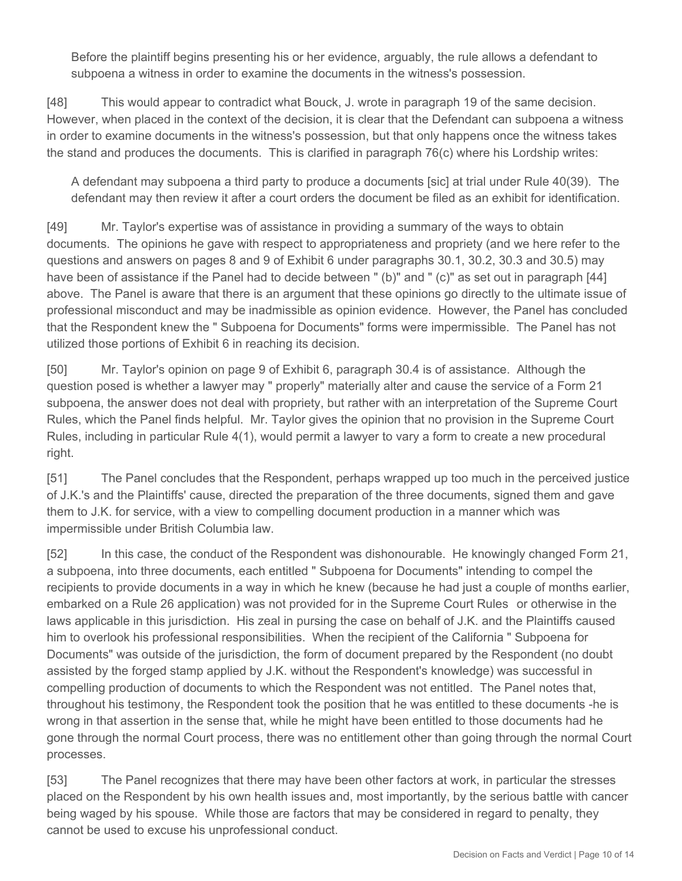Before the plaintiff begins presenting his or her evidence, arguably, the rule allows a defendant to subpoena a witness in order to examine the documents in the witness's possession.

[48] This would appear to contradict what Bouck, J. wrote in paragraph 19 of the same decision. However, when placed in the context of the decision, it is clear that the Defendant can subpoena a witness in order to examine documents in the witness's possession, but that only happens once the witness takes the stand and produces the documents. This is clarified in paragraph 76(c) where his Lordship writes:

A defendant may subpoena a third party to produce a documents [sic] at trial under Rule 40(39). The defendant may then review it after a court orders the document be filed as an exhibit for identification.

[49] Mr. Taylor's expertise was of assistance in providing a summary of the ways to obtain documents. The opinions he gave with respect to appropriateness and propriety (and we here refer to the questions and answers on pages 8 and 9 of Exhibit 6 under paragraphs 30.1, 30.2, 30.3 and 30.5) may have been of assistance if the Panel had to decide between " (b)" and " (c)" as set out in paragraph [44] above. The Panel is aware that there is an argument that these opinions go directly to the ultimate issue of professional misconduct and may be inadmissible as opinion evidence. However, the Panel has concluded that the Respondent knew the " Subpoena for Documents" forms were impermissible. The Panel has not utilized those portions of Exhibit 6 in reaching its decision.

[50] Mr. Taylor's opinion on page 9 of Exhibit 6, paragraph 30.4 is of assistance. Although the question posed is whether a lawyer may " properly" materially alter and cause the service of a Form 21 subpoena, the answer does not deal with propriety, but rather with an interpretation of the Supreme Court Rules, which the Panel finds helpful. Mr. Taylor gives the opinion that no provision in the Supreme Court Rules, including in particular Rule 4(1), would permit a lawyer to vary a form to create a new procedural right.

[51] The Panel concludes that the Respondent, perhaps wrapped up too much in the perceived justice of J.K.'s and the Plaintiffs' cause, directed the preparation of the three documents, signed them and gave them to J.K. for service, with a view to compelling document production in a manner which was impermissible under British Columbia law.

[52] In this case, the conduct of the Respondent was dishonourable. He knowingly changed Form 21, a subpoena, into three documents, each entitled " Subpoena for Documents" intending to compel the recipients to provide documents in a way in which he knew (because he had just a couple of months earlier, embarked on a Rule 26 application) was not provided for in the Supreme Court Rules or otherwise in the laws applicable in this jurisdiction. His zeal in pursing the case on behalf of J.K. and the Plaintiffs caused him to overlook his professional responsibilities. When the recipient of the California " Subpoena for Documents" was outside of the jurisdiction, the form of document prepared by the Respondent (no doubt assisted by the forged stamp applied by J.K. without the Respondent's knowledge) was successful in compelling production of documents to which the Respondent was not entitled. The Panel notes that, throughout his testimony, the Respondent took the position that he was entitled to these documents -he is wrong in that assertion in the sense that, while he might have been entitled to those documents had he gone through the normal Court process, there was no entitlement other than going through the normal Court processes.

[53] The Panel recognizes that there may have been other factors at work, in particular the stresses placed on the Respondent by his own health issues and, most importantly, by the serious battle with cancer being waged by his spouse. While those are factors that may be considered in regard to penalty, they cannot be used to excuse his unprofessional conduct.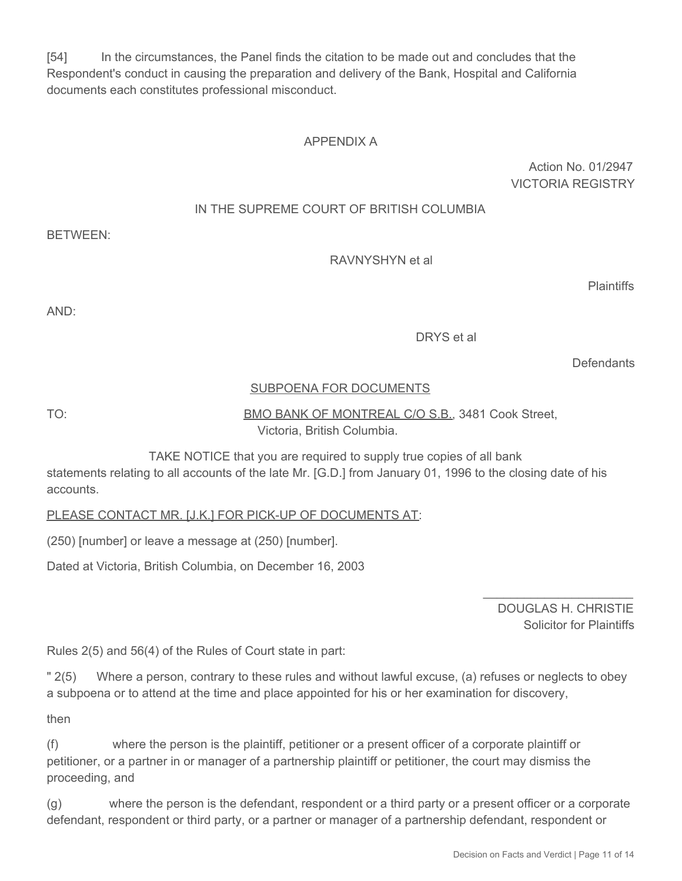[54] In the circumstances, the Panel finds the citation to be made out and concludes that the Respondent's conduct in causing the preparation and delivery of the Bank, Hospital and California documents each constitutes professional misconduct.

## APPENDIX A

Action No. 01/2947 VICTORIA REGISTRY

#### IN THE SUPREME COURT OF BRITISH COLUMBIA

BETWEEN:

RAVNYSHYN et al

**Plaintiffs** 

AND:

DRYS et al

**Defendants** 

#### SUBPOENA FOR DOCUMENTS

TO: BMO BANK OF MONTREAL C/O S.B., 3481 Cook Street, Victoria, British Columbia.

 TAKE NOTICE that you are required to supply true copies of all bank statements relating to all accounts of the late Mr. [G.D.] from January 01, 1996 to the closing date of his accounts.

PLEASE CONTACT MR. [J.K.] FOR PICK-UP OF DOCUMENTS AT:

(250) [number] or leave a message at (250) [number].

Dated at Victoria, British Columbia, on December 16, 2003

DOUGLAS H. CHRISTIE Solicitor for Plaintiffs

\_\_\_\_\_\_\_\_\_\_\_\_\_\_\_\_\_\_\_\_\_\_

Rules 2(5) and 56(4) of the Rules of Court state in part:

" 2(5) Where a person, contrary to these rules and without lawful excuse, (a) refuses or neglects to obey a subpoena or to attend at the time and place appointed for his or her examination for discovery,

then

(f) where the person is the plaintiff, petitioner or a present officer of a corporate plaintiff or petitioner, or a partner in or manager of a partnership plaintiff or petitioner, the court may dismiss the proceeding, and

(g) where the person is the defendant, respondent or a third party or a present officer or a corporate defendant, respondent or third party, or a partner or manager of a partnership defendant, respondent or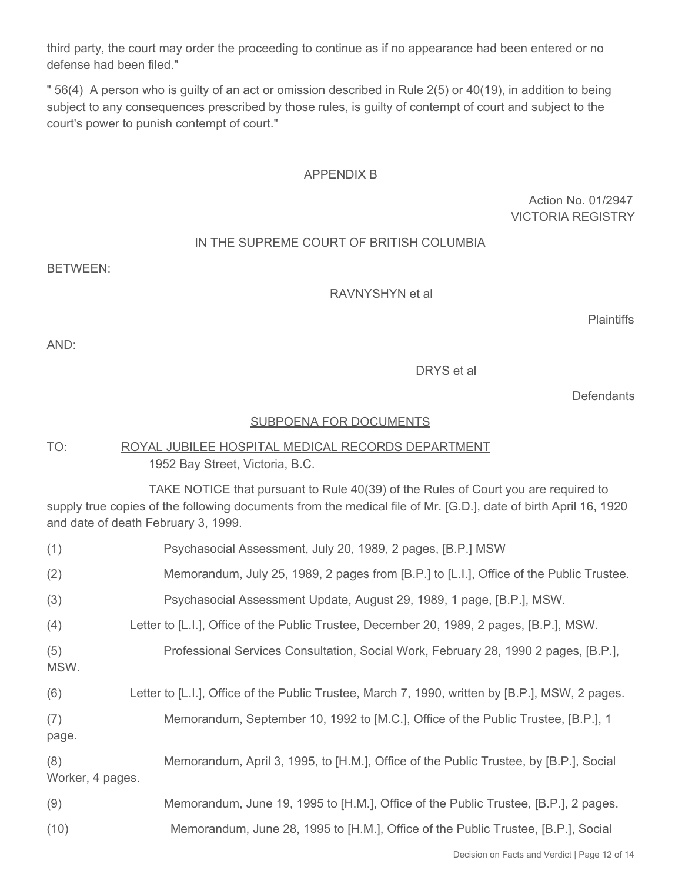third party, the court may order the proceeding to continue as if no appearance had been entered or no defense had been filed."

" 56(4) A person who is guilty of an act or omission described in Rule 2(5) or 40(19), in addition to being subject to any consequences prescribed by those rules, is guilty of contempt of court and subject to the court's power to punish contempt of court."

#### APPENDIX B

Action No. 01/2947 VICTORIA REGISTRY

#### IN THE SUPREME COURT OF BRITISH COLUMBIA

BETWEEN:

RAVNYSHYN et al

**Plaintiffs** 

AND:

DRYS et al

**Defendants** 

#### SUBPOENA FOR DOCUMENTS

## TO: ROYAL JUBILEE HOSPITAL MEDICAL RECORDS DEPARTMENT 1952 Bay Street, Victoria, B.C.

 TAKE NOTICE that pursuant to Rule 40(39) of the Rules of Court you are required to supply true copies of the following documents from the medical file of Mr. [G.D.], date of birth April 16, 1920 and date of death February 3, 1999.

| (1)                     | Psychasocial Assessment, July 20, 1989, 2 pages, [B.P.] MSW                                     |
|-------------------------|-------------------------------------------------------------------------------------------------|
| (2)                     | Memorandum, July 25, 1989, 2 pages from [B.P.] to [L.I.], Office of the Public Trustee.         |
| (3)                     | Psychasocial Assessment Update, August 29, 1989, 1 page, [B.P.], MSW.                           |
| (4)                     | Letter to [L.I.], Office of the Public Trustee, December 20, 1989, 2 pages, [B.P.], MSW.        |
| (5)<br>MSW.             | Professional Services Consultation, Social Work, February 28, 1990 2 pages, [B.P.],             |
| (6)                     | Letter to [L.I.], Office of the Public Trustee, March 7, 1990, written by [B.P.], MSW, 2 pages. |
| (7)<br>page.            | Memorandum, September 10, 1992 to [M.C.], Office of the Public Trustee, [B.P.], 1               |
| (8)<br>Worker, 4 pages. | Memorandum, April 3, 1995, to [H.M.], Office of the Public Trustee, by [B.P.], Social           |
| (9)                     | Memorandum, June 19, 1995 to [H.M.], Office of the Public Trustee, [B.P.], 2 pages.             |
| (10)                    | Memorandum, June 28, 1995 to [H.M.], Office of the Public Trustee, [B.P.], Social               |
|                         |                                                                                                 |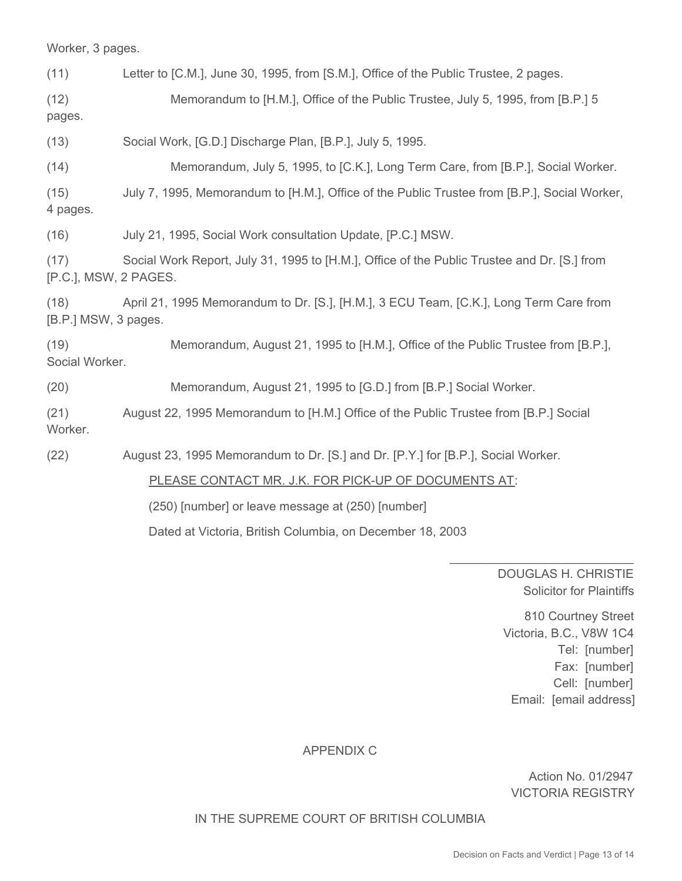Worker, 3 pages.

(11) Letter to [C.M.], June 30, 1995, from [S.M.], Office of the Public Trustee, 2 pages.

(12) Memorandum to [H.M.], Office of the Public Trustee, July 5, 1995, from [B.P.] 5

pages.

(13) Social Work, [G.D.] Discharge Plan, [B.P.], July 5, 1995.

(14) Memorandum, July 5, 1995, to [C.K.], Long Term Care, from [B.P.], Social Worker.

(15) July 7, 1995, Memorandum to [H.M.], Office of the Public Trustee from [B.P.], Social Worker, 4 pages.

(16) July 21, 1995, Social Work consultation Update, [P.C.] MSW.

(17) Social Work Report, July 31, 1995 to [H.M.], Office of the Public Trustee and Dr. [S.] from [P.C.], MSW, 2 PAGES.

(18) April 21, 1995 Memorandum to Dr. [S.], [H.M.], 3 ECU Team, [C.K.], Long Term Care from [B.P.] MSW, 3 pages.

(19) Memorandum, August 21, 1995 to [H.M.], Office of the Public Trustee from [B.P.], Social Worker.

(20) Memorandum, August 21, 1995 to [G.D.] from [B.P.] Social Worker.

(21) August 22, 1995 Memorandum to [H.M.] Office of the Public Trustee from [B.P.] Social Worker.

(22) August 23, 1995 Memorandum to Dr. [S.] and Dr. [P.Y.] for [B.P.], Social Worker.

PLEASE CONTACT MR. J.K. FOR PICK-UP OF DOCUMENTS AT:

(250) [number] or leave message at (250) [number]

Dated at Victoria, British Columbia, on December 18, 2003

DOUGLAS H. CHRISTIE Solicitor for Plaintiffs

\_\_\_\_\_\_\_\_\_\_\_\_\_\_\_\_\_\_\_\_\_\_\_\_\_\_\_

810 Courtney Street Victoria, B.C., V8W 1C4 Tel: [number] Fax: [number] Cell: [number] Email: [email address]

# APPENDIX C

Action No. 01/2947 VICTORIA REGISTRY

IN THE SUPREME COURT OF BRITISH COLUMBIA